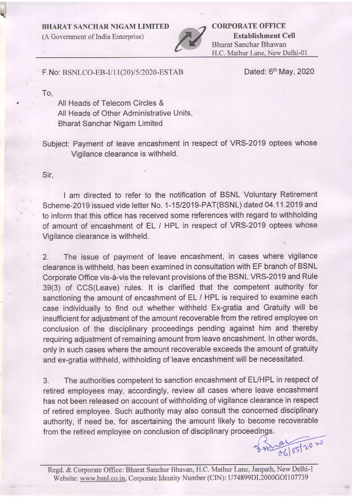BHARAT SANCHAR NIGAM LINIITED

(A Govemment of India Enterprise)



CORPORATE OFFICE Establishment Cell Bharat Sanchar Bhawan H.C. Mathur Lane, New Delhi-01

## F. No: BSNLCO-EB-I/11(20)/5/2020-ESTAB

Dated: 6<sup>th</sup> May, 2020

To,

n

All Heads of Telecom Circles & All Heads of Other Administrative Units, Bharat Sanchar Nigam Limited

Subject: Payment of leave encashment in respect of VRS-2019 optees whose Vigilance clearance is withheld.

Sir,

I am directed to refer to the notification of BSNL Voluntary Retirement Scheme-2019 issued vide letter No. 1-15/2019-PAT(BSNL) dated 04.11.2019 and to inform that this office has received some references with regard to withholding of amount of encashment of EL / HPL in respect of VRS-2019 optees whose Vigilance clearance is withheld.

2. The issue of payment of leave encashment, in cases where vigilance clearance is withheld, has been examined in consultation with EF branch of BSNL Corporate Office vis-d-vis the relevant provisions of the BSNL VRS-2019 and Rule 39(3) of CCS(Leave) rules. lt is clarified that the competent authority for sanctioning the amount of encashment of EL / HPL is required to examine each case individually to find out whether withheld Ex-gratia and Gratuity will be insufficient for adjustment of the amount recoverable from the retired employee on conclusion of the disciplinary proceedings pending against him and thereby requiring adjustment of remaining amount from leave encashment. In other words, only in such cases where the amount recoverable exceeds the amount of gratuity and ex-gratia withheld, withholding of leave encashment will be necessitated.

3. The authorities competent to sanction encashment of EUHPL in respect of retired employees may, accordingly, review all cases where leave encashment has not been released on account of withholding of vigilance clearance in respect of retired employee. Such authority may also consult the concerned disciplinary authority, if need be, for ascertaining the amount likely to become recoverable from the retired empioyee on conclusion of disciplinary proceedips.

 $\frac{1}{\sqrt{15}}$  $06$